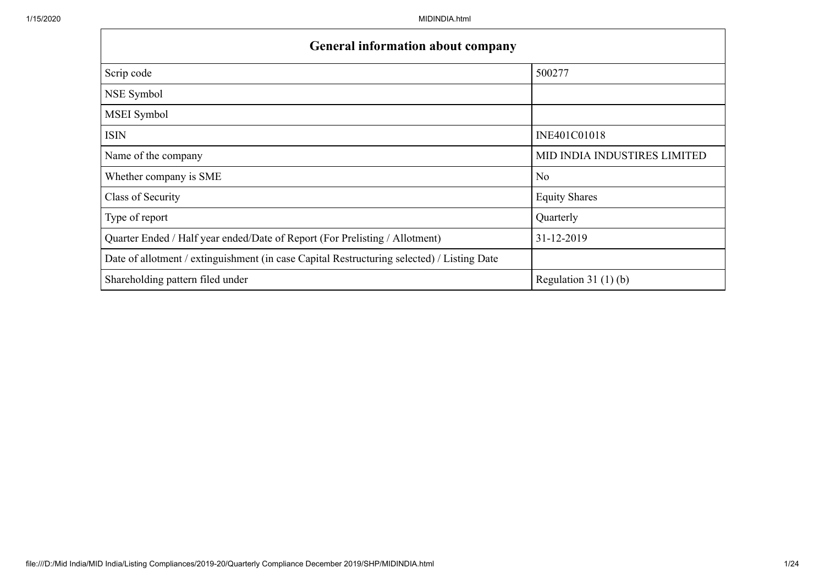| <b>General information about company</b>                                                   |                              |
|--------------------------------------------------------------------------------------------|------------------------------|
| Scrip code                                                                                 | 500277                       |
| NSE Symbol                                                                                 |                              |
| MSEI Symbol                                                                                |                              |
| <b>ISIN</b>                                                                                | INE401C01018                 |
| Name of the company                                                                        | MID INDIA INDUSTIRES LIMITED |
| Whether company is SME                                                                     | N <sub>o</sub>               |
| Class of Security                                                                          | <b>Equity Shares</b>         |
| Type of report                                                                             | Quarterly                    |
| Quarter Ended / Half year ended/Date of Report (For Prelisting / Allotment)                | 31-12-2019                   |
| Date of allotment / extinguishment (in case Capital Restructuring selected) / Listing Date |                              |
| Shareholding pattern filed under                                                           | Regulation $31(1)(b)$        |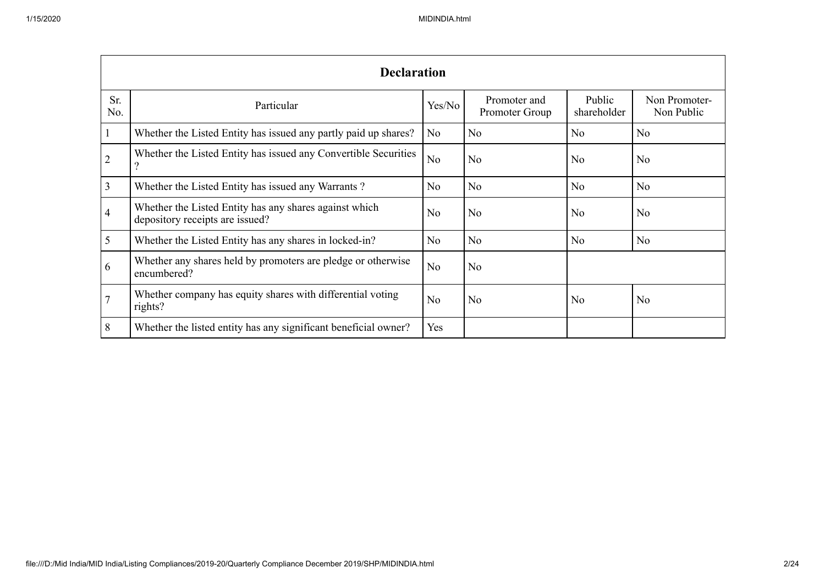|                          | <b>Declaration</b>                                                                        |                |                                |                       |                             |  |  |  |  |  |  |  |  |
|--------------------------|-------------------------------------------------------------------------------------------|----------------|--------------------------------|-----------------------|-----------------------------|--|--|--|--|--|--|--|--|
| Sr.<br>No.               | Particular                                                                                | Yes/No         | Promoter and<br>Promoter Group | Public<br>shareholder | Non Promoter-<br>Non Public |  |  |  |  |  |  |  |  |
|                          | Whether the Listed Entity has issued any partly paid up shares?                           | N <sub>o</sub> | No                             | N <sub>o</sub>        | No                          |  |  |  |  |  |  |  |  |
| $\overline{2}$           | Whether the Listed Entity has issued any Convertible Securities                           | N <sub>o</sub> | No                             | N <sub>o</sub>        | N <sub>o</sub>              |  |  |  |  |  |  |  |  |
| 3                        | Whether the Listed Entity has issued any Warrants?                                        | N <sub>o</sub> | No                             | N <sub>o</sub>        | N <sub>o</sub>              |  |  |  |  |  |  |  |  |
| $\overline{\mathcal{A}}$ | Whether the Listed Entity has any shares against which<br>depository receipts are issued? | N <sub>o</sub> | No                             | No                    | N <sub>o</sub>              |  |  |  |  |  |  |  |  |
| 5                        | Whether the Listed Entity has any shares in locked-in?                                    | N <sub>o</sub> | No                             | N <sub>o</sub>        | No                          |  |  |  |  |  |  |  |  |
| 6                        | Whether any shares held by promoters are pledge or otherwise<br>encumbered?               | N <sub>o</sub> | No                             |                       |                             |  |  |  |  |  |  |  |  |
|                          | Whether company has equity shares with differential voting<br>rights?                     | N <sub>o</sub> | N <sub>o</sub>                 | N <sub>o</sub>        | No                          |  |  |  |  |  |  |  |  |
| 8                        | Whether the listed entity has any significant beneficial owner?                           | Yes            |                                |                       |                             |  |  |  |  |  |  |  |  |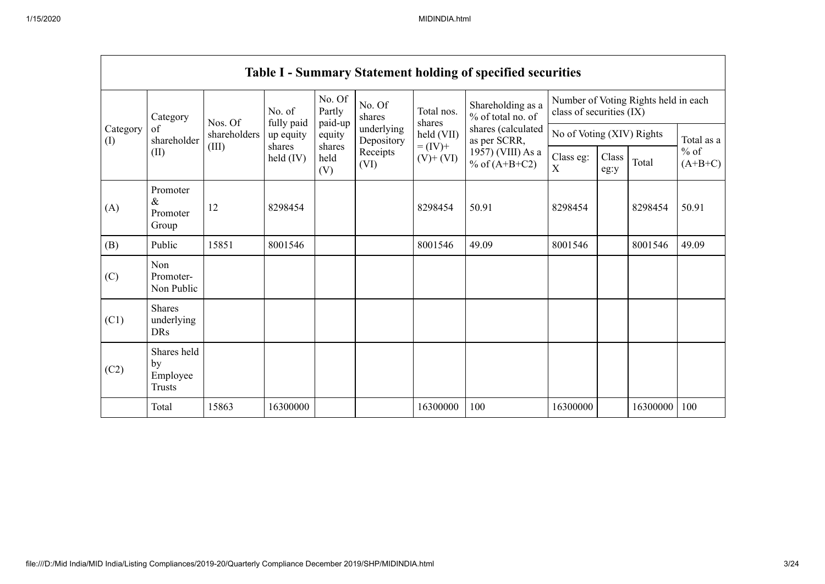|                 | <b>Table I - Summary Statement holding of specified securities</b> |              |                      |                             |                          |                                                                |                                                                            |                           |               |          |                     |  |  |  |
|-----------------|--------------------------------------------------------------------|--------------|----------------------|-----------------------------|--------------------------|----------------------------------------------------------------|----------------------------------------------------------------------------|---------------------------|---------------|----------|---------------------|--|--|--|
|                 | Category                                                           | Nos. Of      | No. of<br>fully paid | No. Of<br>Partly<br>paid-up | No. Of<br>shares         | Shareholding as a<br>Total nos.<br>% of total no. of<br>shares | Number of Voting Rights held in each<br>class of securities (IX)           |                           |               |          |                     |  |  |  |
| Category<br>(I) | of<br>shareholder                                                  | shareholders | up equity<br>shares  | equity                      | underlying<br>Depository | held (VII)                                                     | shares (calculated<br>as per SCRR,<br>1957) (VIII) As a<br>% of $(A+B+C2)$ | No of Voting (XIV) Rights |               |          | Total as a          |  |  |  |
|                 | (II)                                                               | (III)        | held $(IV)$          | shares<br>held<br>(V)       | Receipts<br>(VI)         | $= (IV) +$<br>$(V)$ + $(VI)$                                   |                                                                            | Class eg:<br>X            | Class<br>eg:y | Total    | $%$ of<br>$(A+B+C)$ |  |  |  |
| (A)             | Promoter<br>$\&$<br>Promoter<br>Group                              | 12           | 8298454              |                             |                          | 8298454                                                        | 50.91                                                                      | 8298454                   |               | 8298454  | 50.91               |  |  |  |
| (B)             | Public                                                             | 15851        | 8001546              |                             |                          | 8001546                                                        | 49.09                                                                      | 8001546                   |               | 8001546  | 49.09               |  |  |  |
| (C)             | Non<br>Promoter-<br>Non Public                                     |              |                      |                             |                          |                                                                |                                                                            |                           |               |          |                     |  |  |  |
| (C1)            | Shares<br>underlying<br><b>DRs</b>                                 |              |                      |                             |                          |                                                                |                                                                            |                           |               |          |                     |  |  |  |
| (C2)            | Shares held<br>by<br>Employee<br>Trusts                            |              |                      |                             |                          |                                                                |                                                                            |                           |               |          |                     |  |  |  |
|                 | Total                                                              | 15863        | 16300000             |                             |                          | 16300000                                                       | 100                                                                        | 16300000                  |               | 16300000 | 100                 |  |  |  |

 $\overline{\phantom{0}}$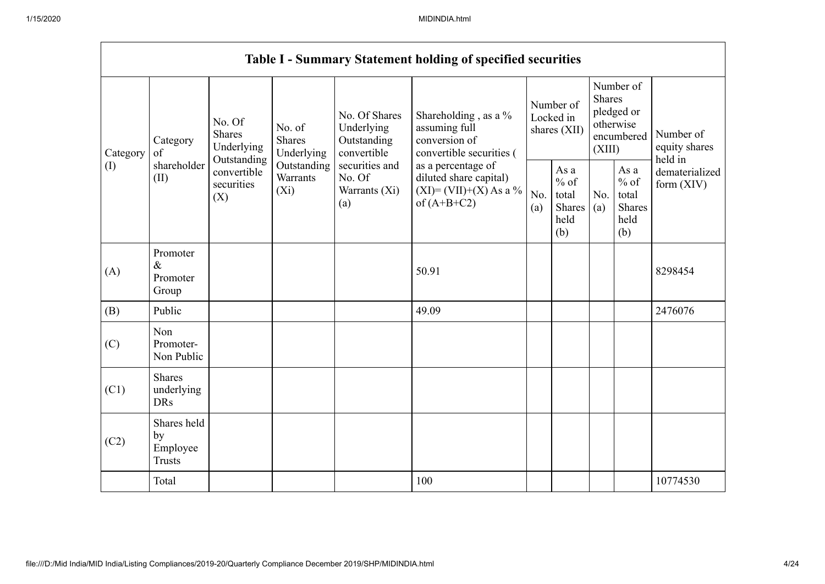|                 |                                                |                                                                                          |                                                                             |                                                           | <b>Table I - Summary Statement holding of specified securities</b>                         |                                                                                |                        |                                                  |                                                    |                                       |
|-----------------|------------------------------------------------|------------------------------------------------------------------------------------------|-----------------------------------------------------------------------------|-----------------------------------------------------------|--------------------------------------------------------------------------------------------|--------------------------------------------------------------------------------|------------------------|--------------------------------------------------|----------------------------------------------------|---------------------------------------|
| Category<br>(I) | Category<br>of<br>shareholder<br>(II)          | No. Of<br><b>Shares</b><br>Underlying<br>Outstanding<br>convertible<br>securities<br>(X) | No. of<br><b>Shares</b><br>Underlying<br>Outstanding<br>Warrants<br>$(X_i)$ | No. Of Shares<br>Underlying<br>Outstanding<br>convertible | Shareholding, as a %<br>assuming full<br>conversion of<br>convertible securities (         |                                                                                | Number of<br>Locked in | <b>Shares</b><br>(XIII)                          | Number of<br>pledged or<br>otherwise<br>encumbered | Number of<br>equity shares<br>held in |
|                 |                                                |                                                                                          |                                                                             | securities and<br>No. Of<br>Warrants (Xi)<br>(a)          | as a percentage of<br>diluted share capital)<br>$(XI) = (VII)+(X) As a %$<br>of $(A+B+C2)$ | shares (XII)<br>As a<br>$%$ of<br>No.<br>total<br>Shares<br>(a)<br>held<br>(b) | No.<br>(a)             | As a<br>$%$ of<br>total<br>Shares<br>held<br>(b) | dematerialized<br>form $(XIV)$                     |                                       |
| (A)             | Promoter<br>$\&$<br>Promoter<br>Group          |                                                                                          |                                                                             |                                                           | 50.91                                                                                      |                                                                                |                        |                                                  |                                                    | 8298454                               |
| (B)             | Public                                         |                                                                                          |                                                                             |                                                           | 49.09                                                                                      |                                                                                |                        |                                                  |                                                    | 2476076                               |
| (C)             | Non<br>Promoter-<br>Non Public                 |                                                                                          |                                                                             |                                                           |                                                                                            |                                                                                |                        |                                                  |                                                    |                                       |
| (C1)            | <b>Shares</b><br>underlying<br><b>DRs</b>      |                                                                                          |                                                                             |                                                           |                                                                                            |                                                                                |                        |                                                  |                                                    |                                       |
| (C2)            | Shares held<br>by<br>Employee<br><b>Trusts</b> |                                                                                          |                                                                             |                                                           |                                                                                            |                                                                                |                        |                                                  |                                                    |                                       |
|                 | Total                                          |                                                                                          |                                                                             |                                                           | 100                                                                                        |                                                                                |                        |                                                  |                                                    | 10774530                              |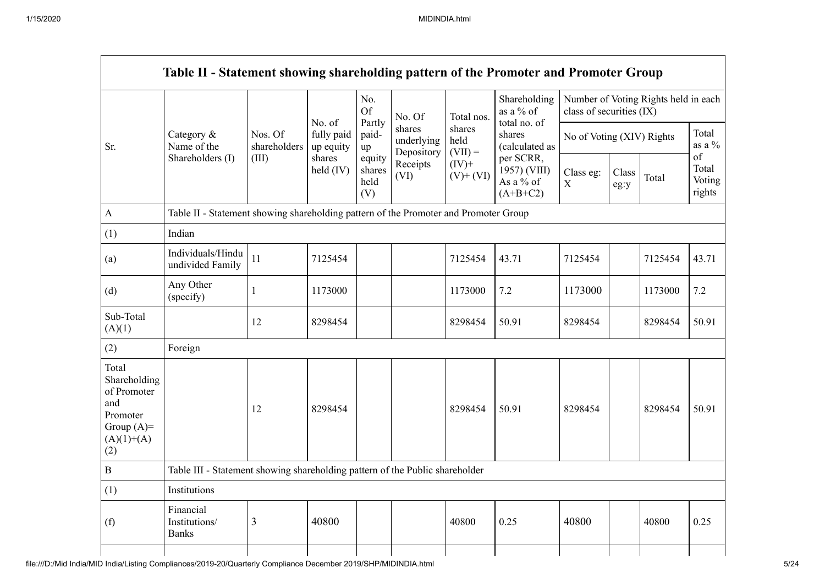|                                                                                                |                                                                                      |                         |                                   | No.<br><b>Of</b>                | No. Of                             | Total nos.                  | Shareholding<br>as a % of                            | Table II - Statement showing shareholding pattern of the Promoter and Promoter Group<br>Number of Voting Rights held in each<br>class of securities (IX)<br>No of Voting (XIV) Rights<br>Class eg:<br>Class<br>$\mathbf X$<br>eg:y<br>7125454<br>1173000<br>8298454<br>8298454 |  |         |                                 |
|------------------------------------------------------------------------------------------------|--------------------------------------------------------------------------------------|-------------------------|-----------------------------------|---------------------------------|------------------------------------|-----------------------------|------------------------------------------------------|--------------------------------------------------------------------------------------------------------------------------------------------------------------------------------------------------------------------------------------------------------------------------------|--|---------|---------------------------------|
| Sr.                                                                                            | Category &<br>Name of the                                                            | Nos. Of<br>shareholders | No. of<br>fully paid<br>up equity | Partly<br>paid-<br>up           | shares<br>underlying<br>Depository | shares<br>held<br>$(VII) =$ | total no. of<br>shares<br>(calculated as             |                                                                                                                                                                                                                                                                                |  |         | Total<br>as a $\%$              |
|                                                                                                | Shareholders (I)                                                                     | (III)                   | shares<br>held $(IV)$             | equity<br>shares<br>held<br>(V) | Receipts<br>(VI)                   | $(IV)+$<br>$(V)$ + $(VI)$   | per SCRR,<br>1957) (VIII)<br>As a % of<br>$(A+B+C2)$ |                                                                                                                                                                                                                                                                                |  | Total   | of<br>Total<br>Voting<br>rights |
| $\boldsymbol{\rm{A}}$                                                                          | Table II - Statement showing shareholding pattern of the Promoter and Promoter Group |                         |                                   |                                 |                                    |                             |                                                      |                                                                                                                                                                                                                                                                                |  |         |                                 |
| (1)                                                                                            | Indian                                                                               |                         |                                   |                                 |                                    |                             |                                                      |                                                                                                                                                                                                                                                                                |  |         |                                 |
| (a)                                                                                            | Individuals/Hindu<br>undivided Family                                                | $11\,$                  | 7125454                           |                                 |                                    | 7125454                     | 43.71                                                |                                                                                                                                                                                                                                                                                |  | 7125454 | 43.71                           |
| (d)                                                                                            | Any Other<br>(specify)                                                               | 1                       | 1173000                           |                                 |                                    | 1173000                     | 7.2                                                  |                                                                                                                                                                                                                                                                                |  | 1173000 | 7.2                             |
| Sub-Total<br>(A)(1)                                                                            |                                                                                      | 12                      | 8298454                           |                                 |                                    | 8298454                     | 50.91                                                |                                                                                                                                                                                                                                                                                |  | 8298454 | 50.91                           |
| (2)                                                                                            | Foreign                                                                              |                         |                                   |                                 |                                    |                             |                                                      |                                                                                                                                                                                                                                                                                |  |         |                                 |
| Total<br>Shareholding<br>of Promoter<br>and<br>Promoter<br>Group $(A)=$<br>$(A)(1)+(A)$<br>(2) |                                                                                      | 12                      | 8298454                           |                                 |                                    | 8298454                     | 50.91                                                |                                                                                                                                                                                                                                                                                |  | 8298454 | 50.91                           |
| $\, {\bf B}$                                                                                   | Table III - Statement showing shareholding pattern of the Public shareholder         |                         |                                   |                                 |                                    |                             |                                                      |                                                                                                                                                                                                                                                                                |  |         |                                 |
| (1)                                                                                            | Institutions                                                                         |                         |                                   |                                 |                                    |                             |                                                      |                                                                                                                                                                                                                                                                                |  |         |                                 |
| (f)                                                                                            | Financial<br>Institutions/<br><b>Banks</b>                                           | 3                       | 40800                             |                                 |                                    | 40800                       | 0.25                                                 | 40800                                                                                                                                                                                                                                                                          |  | 40800   | 0.25                            |
|                                                                                                |                                                                                      |                         |                                   |                                 |                                    |                             |                                                      |                                                                                                                                                                                                                                                                                |  |         |                                 |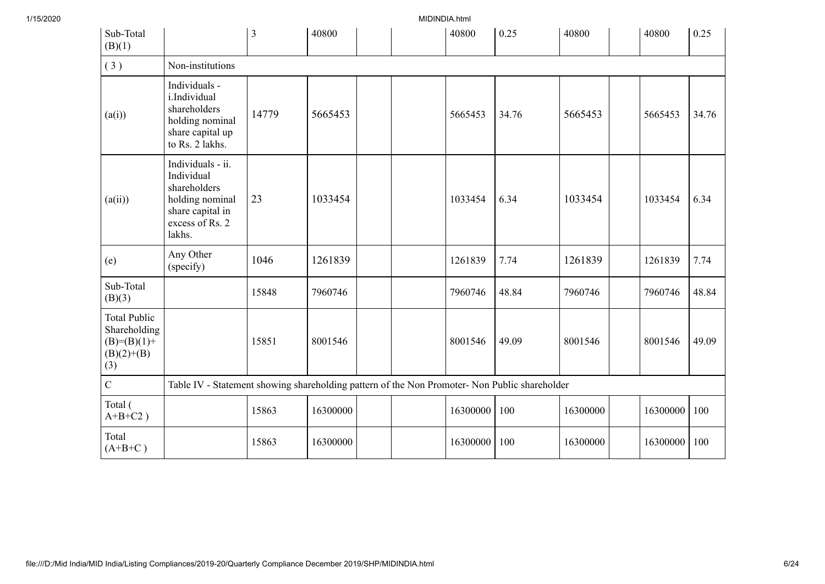| 1/15/2020 |                                                                               |                                                                                                                     |       |          | MIDINDIA.html |          |       |          |          |       |
|-----------|-------------------------------------------------------------------------------|---------------------------------------------------------------------------------------------------------------------|-------|----------|---------------|----------|-------|----------|----------|-------|
|           | Sub-Total<br>(B)(1)                                                           |                                                                                                                     | 3     | 40800    |               | 40800    | 0.25  | 40800    | 40800    | 0.25  |
|           | (3)                                                                           | Non-institutions                                                                                                    |       |          |               |          |       |          |          |       |
|           | (a(i))                                                                        | Individuals -<br>i.Individual<br>shareholders<br>holding nominal<br>share capital up<br>to Rs. 2 lakhs.             | 14779 | 5665453  |               | 5665453  | 34.76 | 5665453  | 5665453  | 34.76 |
|           | (a(ii))                                                                       | Individuals - ii.<br>Individual<br>shareholders<br>holding nominal<br>share capital in<br>excess of Rs. 2<br>lakhs. | 23    | 1033454  |               | 1033454  | 6.34  | 1033454  | 1033454  | 6.34  |
|           | (e)                                                                           | Any Other<br>(specify)                                                                                              | 1046  | 1261839  |               | 1261839  | 7.74  | 1261839  | 1261839  | 7.74  |
|           | Sub-Total<br>(B)(3)                                                           |                                                                                                                     | 15848 | 7960746  |               | 7960746  | 48.84 | 7960746  | 7960746  | 48.84 |
|           | <b>Total Public</b><br>Shareholding<br>$(B)= (B)(1) +$<br>$(B)(2)+(B)$<br>(3) |                                                                                                                     | 15851 | 8001546  |               | 8001546  | 49.09 | 8001546  | 8001546  | 49.09 |
|           | $\overline{C}$                                                                | Table IV - Statement showing shareholding pattern of the Non Promoter- Non Public shareholder                       |       |          |               |          |       |          |          |       |
|           | Total (<br>$A+B+C2$ )                                                         |                                                                                                                     | 15863 | 16300000 |               | 16300000 | 100   | 16300000 | 16300000 | 100   |
|           | Total<br>$(A+B+C)$                                                            |                                                                                                                     | 15863 | 16300000 |               | 16300000 | 100   | 16300000 | 16300000 | 100   |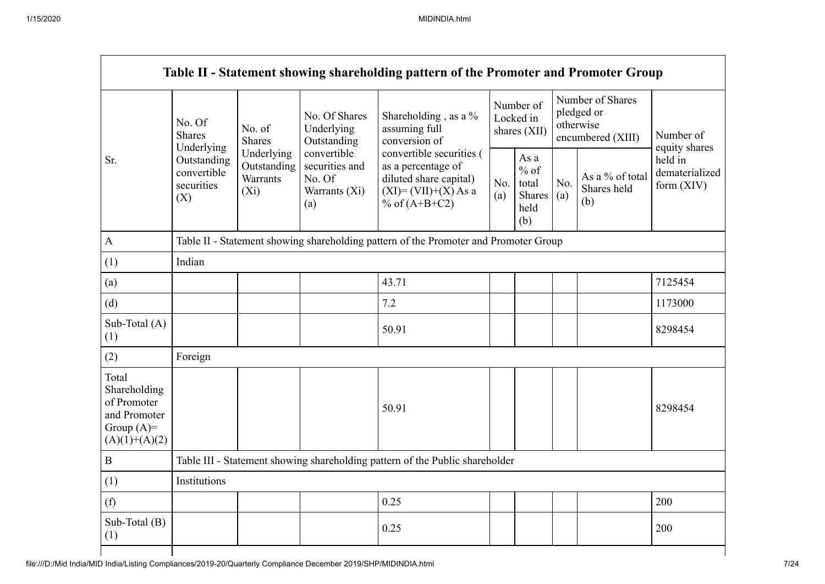|                                                                                         |                                                 |                                                  |                                                                 | Table II - Statement showing shareholding pattern of the Promoter and Promoter Group                                   |            |                                                         |            |                                                                  |                                           |  |  |
|-----------------------------------------------------------------------------------------|-------------------------------------------------|--------------------------------------------------|-----------------------------------------------------------------|------------------------------------------------------------------------------------------------------------------------|------------|---------------------------------------------------------|------------|------------------------------------------------------------------|-------------------------------------------|--|--|
|                                                                                         | No. Of<br><b>Shares</b><br>Underlying           | No. of<br><b>Shares</b>                          | No. Of Shares<br>Underlying<br>Outstanding                      | Shareholding, as a %<br>assuming full<br>conversion of                                                                 |            | Number of<br>Locked in<br>shares (XII)                  |            | Number of Shares<br>pledged or<br>otherwise<br>encumbered (XIII) | Number of<br>equity shares                |  |  |
| Sr.                                                                                     | Outstanding<br>convertible<br>securities<br>(X) | Underlying<br>Outstanding<br>Warrants<br>$(X_i)$ | convertible<br>securities and<br>No. Of<br>Warrants (Xi)<br>(a) | convertible securities (<br>as a percentage of<br>diluted share capital)<br>$(XI) = (VII)+(X) As a$<br>% of $(A+B+C2)$ | No.<br>(a) | As a<br>$%$ of<br>total<br><b>Shares</b><br>held<br>(b) | No.<br>(a) | As a % of total<br>Shares held<br>(b)                            | held in<br>dematerialized<br>form $(XIV)$ |  |  |
| $\mathbf{A}$                                                                            |                                                 |                                                  |                                                                 | Table II - Statement showing shareholding pattern of the Promoter and Promoter Group                                   |            |                                                         |            |                                                                  |                                           |  |  |
| (1)                                                                                     | Indian                                          |                                                  |                                                                 |                                                                                                                        |            |                                                         |            |                                                                  |                                           |  |  |
| (a)                                                                                     |                                                 |                                                  |                                                                 | 43.71                                                                                                                  |            |                                                         |            |                                                                  | 7125454                                   |  |  |
| (d)                                                                                     |                                                 |                                                  |                                                                 | 7.2                                                                                                                    |            |                                                         |            |                                                                  | 1173000                                   |  |  |
| Sub-Total (A)<br>(1)                                                                    |                                                 |                                                  |                                                                 | 50.91                                                                                                                  |            |                                                         |            |                                                                  | 8298454                                   |  |  |
| (2)                                                                                     | Foreign                                         |                                                  |                                                                 |                                                                                                                        |            |                                                         |            |                                                                  |                                           |  |  |
| Total<br>Shareholding<br>of Promoter<br>and Promoter<br>Group $(A)=$<br>$(A)(1)+(A)(2)$ |                                                 |                                                  |                                                                 | 50.91                                                                                                                  |            |                                                         |            |                                                                  | 8298454                                   |  |  |
| $\, {\bf B}$                                                                            |                                                 |                                                  |                                                                 | Table III - Statement showing shareholding pattern of the Public shareholder                                           |            |                                                         |            |                                                                  |                                           |  |  |
| (1)                                                                                     | Institutions                                    |                                                  |                                                                 |                                                                                                                        |            |                                                         |            |                                                                  |                                           |  |  |
| (f)                                                                                     |                                                 |                                                  |                                                                 | 0.25                                                                                                                   |            |                                                         |            |                                                                  | 200                                       |  |  |
| Sub-Total (B)<br>(1)                                                                    |                                                 |                                                  |                                                                 | 0.25                                                                                                                   |            |                                                         |            |                                                                  | 200                                       |  |  |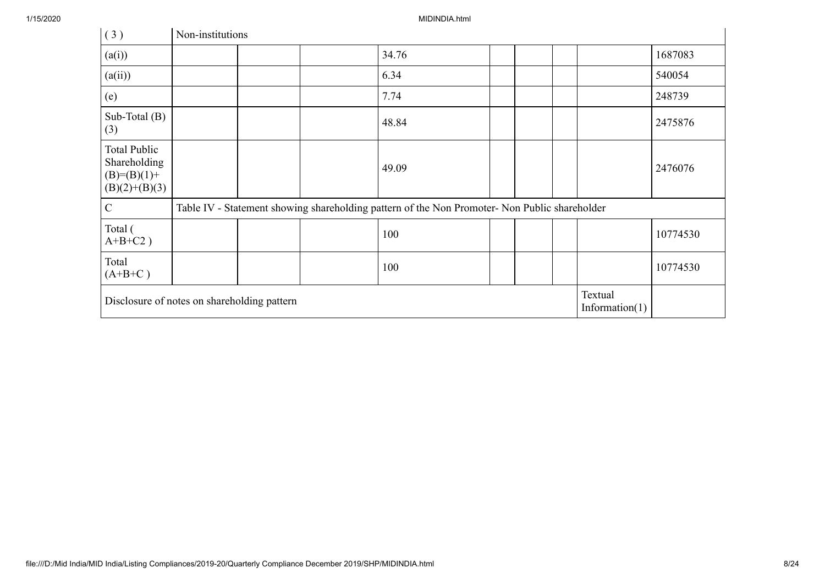| (3)                                                                       | Non-institutions                                                            |  |  |                                                                                               |  |  |  |  |          |  |
|---------------------------------------------------------------------------|-----------------------------------------------------------------------------|--|--|-----------------------------------------------------------------------------------------------|--|--|--|--|----------|--|
| (a(i))                                                                    |                                                                             |  |  | 34.76                                                                                         |  |  |  |  | 1687083  |  |
| (a(ii))                                                                   |                                                                             |  |  | 6.34                                                                                          |  |  |  |  | 540054   |  |
| (e)                                                                       |                                                                             |  |  | 7.74                                                                                          |  |  |  |  | 248739   |  |
| Sub-Total (B)<br>(3)                                                      |                                                                             |  |  | 48.84                                                                                         |  |  |  |  | 2475876  |  |
| <b>Total Public</b><br>Shareholding<br>$(B)= (B)(1) +$<br>$(B)(2)+(B)(3)$ |                                                                             |  |  | 49.09                                                                                         |  |  |  |  | 2476076  |  |
| $\mathcal{C}$                                                             |                                                                             |  |  | Table IV - Statement showing shareholding pattern of the Non Promoter- Non Public shareholder |  |  |  |  |          |  |
| Total (<br>$A+B+C2$ )                                                     |                                                                             |  |  | 100                                                                                           |  |  |  |  | 10774530 |  |
| Total<br>$(A+B+C)$                                                        |                                                                             |  |  | 100                                                                                           |  |  |  |  | 10774530 |  |
|                                                                           | Textual<br>Disclosure of notes on shareholding pattern<br>Information $(1)$ |  |  |                                                                                               |  |  |  |  |          |  |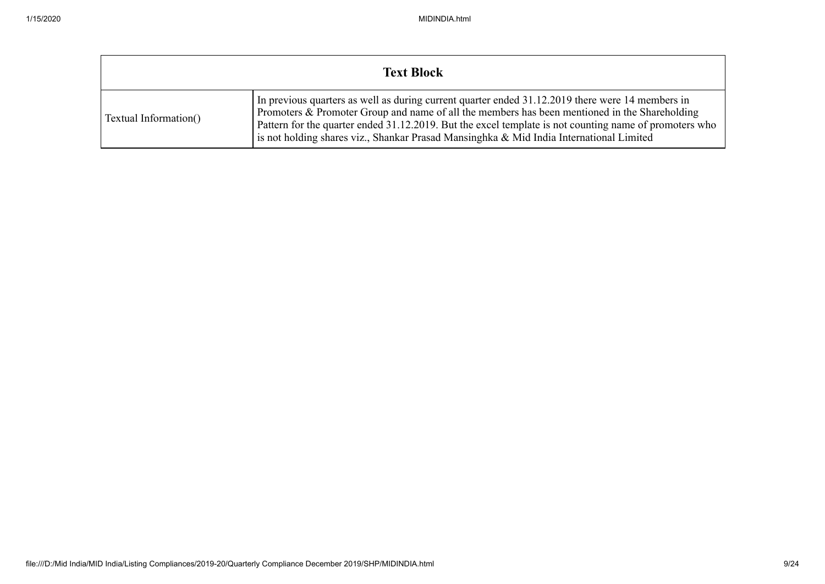|                       | <b>Text Block</b>                                                                                                                                                                                                                                                                                                                                                                                      |
|-----------------------|--------------------------------------------------------------------------------------------------------------------------------------------------------------------------------------------------------------------------------------------------------------------------------------------------------------------------------------------------------------------------------------------------------|
| Textual Information() | In previous quarters as well as during current quarter ended 31.12.2019 there were 14 members in<br>Promoters & Promoter Group and name of all the members has been mentioned in the Shareholding<br>Pattern for the quarter ended 31.12.2019. But the excel template is not counting name of promoters who<br>is not holding shares viz., Shankar Prasad Mansinghka & Mid India International Limited |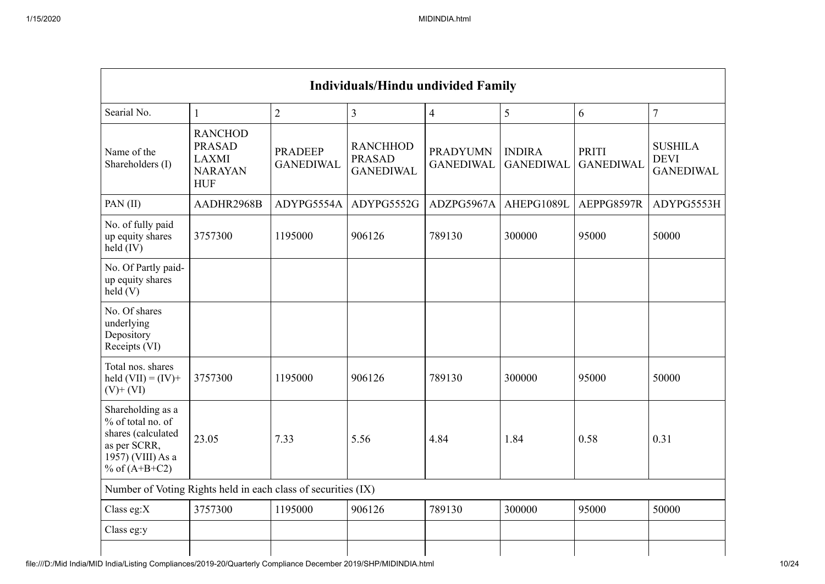| <b>Individuals/Hindu undivided Family</b>                                                                            |                                                                                 |                                    |                                                      |                                     |                                   |                           |                                                   |  |  |  |  |  |
|----------------------------------------------------------------------------------------------------------------------|---------------------------------------------------------------------------------|------------------------------------|------------------------------------------------------|-------------------------------------|-----------------------------------|---------------------------|---------------------------------------------------|--|--|--|--|--|
| Searial No.                                                                                                          | $\mathbf{1}$                                                                    | $\overline{2}$                     | $\overline{3}$                                       | $\overline{4}$                      | 5                                 | 6                         | $\overline{7}$                                    |  |  |  |  |  |
| Name of the<br>Shareholders (I)                                                                                      | <b>RANCHOD</b><br><b>PRASAD</b><br><b>LAXMI</b><br><b>NARAYAN</b><br><b>HUF</b> | <b>PRADEEP</b><br><b>GANEDIWAL</b> | <b>RANCHHOD</b><br><b>PRASAD</b><br><b>GANEDIWAL</b> | <b>PRADYUMN</b><br><b>GANEDIWAL</b> | <b>INDIRA</b><br><b>GANEDIWAL</b> | PRITI<br><b>GANEDIWAL</b> | <b>SUSHILA</b><br><b>DEVI</b><br><b>GANEDIWAL</b> |  |  |  |  |  |
| PAN(II)                                                                                                              | AADHR2968B                                                                      | ADYPG5554A                         | ADYPG5552G                                           | ADZPG5967A                          | AHEPG1089L                        | AEPPG8597R                | ADYPG5553H                                        |  |  |  |  |  |
| No. of fully paid<br>up equity shares<br>held (IV)                                                                   | 3757300                                                                         | 1195000                            | 906126                                               | 789130                              | 300000                            | 95000                     | 50000                                             |  |  |  |  |  |
| No. Of Partly paid-<br>up equity shares<br>held(V)                                                                   |                                                                                 |                                    |                                                      |                                     |                                   |                           |                                                   |  |  |  |  |  |
| No. Of shares<br>underlying<br>Depository<br>Receipts (VI)                                                           |                                                                                 |                                    |                                                      |                                     |                                   |                           |                                                   |  |  |  |  |  |
| Total nos. shares<br>held $(VII) = (IV) +$<br>$(V)$ + $(VI)$                                                         | 3757300                                                                         | 1195000                            | 906126                                               | 789130                              | 300000                            | 95000                     | 50000                                             |  |  |  |  |  |
| Shareholding as a<br>% of total no. of<br>shares (calculated<br>as per SCRR,<br>1957) (VIII) As a<br>% of $(A+B+C2)$ | 23.05                                                                           | 7.33                               | 5.56                                                 | 4.84                                | 1.84                              | 0.58                      | 0.31                                              |  |  |  |  |  |
| Number of Voting Rights held in each class of securities (IX)                                                        |                                                                                 |                                    |                                                      |                                     |                                   |                           |                                                   |  |  |  |  |  |
| Class eg:X                                                                                                           | 3757300                                                                         | 1195000                            | 906126                                               | 789130                              | 300000                            | 95000                     | 50000                                             |  |  |  |  |  |
| Class eg:y                                                                                                           |                                                                                 |                                    |                                                      |                                     |                                   |                           |                                                   |  |  |  |  |  |
|                                                                                                                      |                                                                                 |                                    |                                                      |                                     |                                   |                           |                                                   |  |  |  |  |  |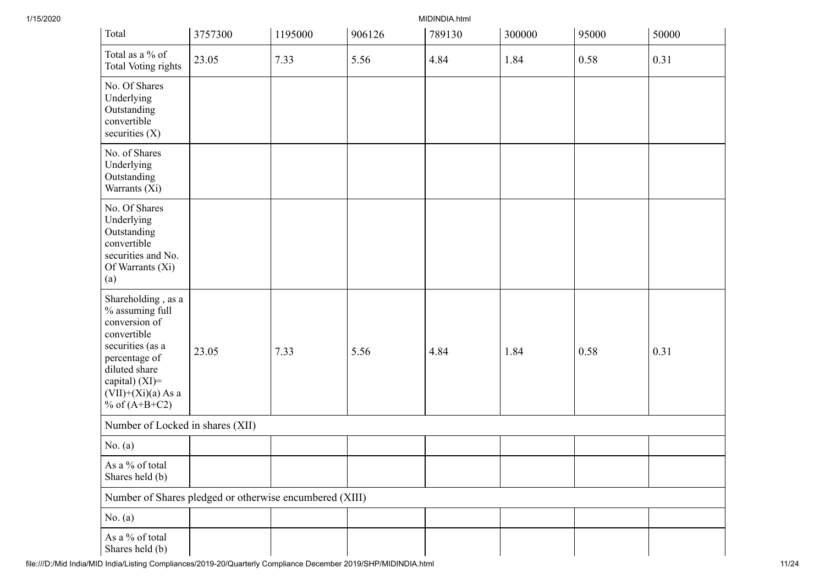| Total                                                                                                                                                                                    | 3757300 | 1195000 | 906126 | 789130 | 300000 | 95000 | 50000 |
|------------------------------------------------------------------------------------------------------------------------------------------------------------------------------------------|---------|---------|--------|--------|--------|-------|-------|
| Total as a % of<br>Total Voting rights                                                                                                                                                   | 23.05   | 7.33    | 5.56   | 4.84   | 1.84   | 0.58  | 0.31  |
| No. Of Shares<br>Underlying<br>Outstanding<br>convertible<br>securities $(X)$                                                                                                            |         |         |        |        |        |       |       |
| No. of Shares<br>Underlying<br>Outstanding<br>Warrants (Xi)                                                                                                                              |         |         |        |        |        |       |       |
| No. Of Shares<br>Underlying<br>Outstanding<br>convertible<br>securities and No.<br>Of Warrants (Xi)<br>(a)                                                                               |         |         |        |        |        |       |       |
| Shareholding, as a<br>% assuming full<br>conversion of<br>convertible<br>securities (as a<br>percentage of<br>diluted share<br>capital) (XI)=<br>$(VII)+(Xi)(a)$ As a<br>% of $(A+B+C2)$ | 23.05   | 7.33    | 5.56   | 4.84   | 1.84   | 0.58  | 0.31  |
| Number of Locked in shares (XII)                                                                                                                                                         |         |         |        |        |        |       |       |
| No. $(a)$                                                                                                                                                                                |         |         |        |        |        |       |       |
| As a % of total<br>Shares held (b)                                                                                                                                                       |         |         |        |        |        |       |       |
| Number of Shares pledged or otherwise encumbered (XIII)                                                                                                                                  |         |         |        |        |        |       |       |
| No. $(a)$                                                                                                                                                                                |         |         |        |        |        |       |       |
| As a % of total<br>Shares held (b)                                                                                                                                                       |         |         |        |        |        |       |       |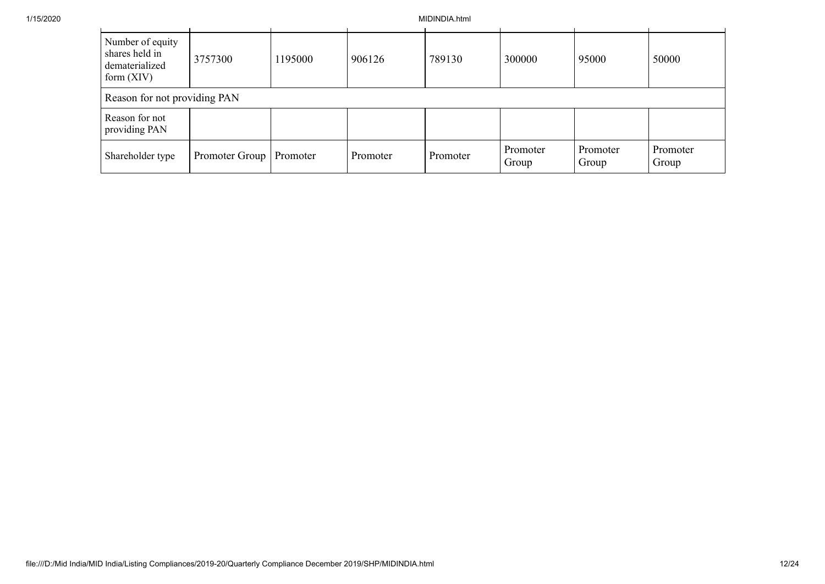| Number of equity<br>shares held in<br>dematerialized<br>form $(XIV)$ | 3757300                   | 1195000 | 906126   | 789130   | 300000            | 95000             | 50000             |
|----------------------------------------------------------------------|---------------------------|---------|----------|----------|-------------------|-------------------|-------------------|
| Reason for not providing PAN                                         |                           |         |          |          |                   |                   |                   |
| Reason for not<br>providing PAN                                      |                           |         |          |          |                   |                   |                   |
| Shareholder type                                                     | Promoter Group   Promoter |         | Promoter | Promoter | Promoter<br>Group | Promoter<br>Group | Promoter<br>Group |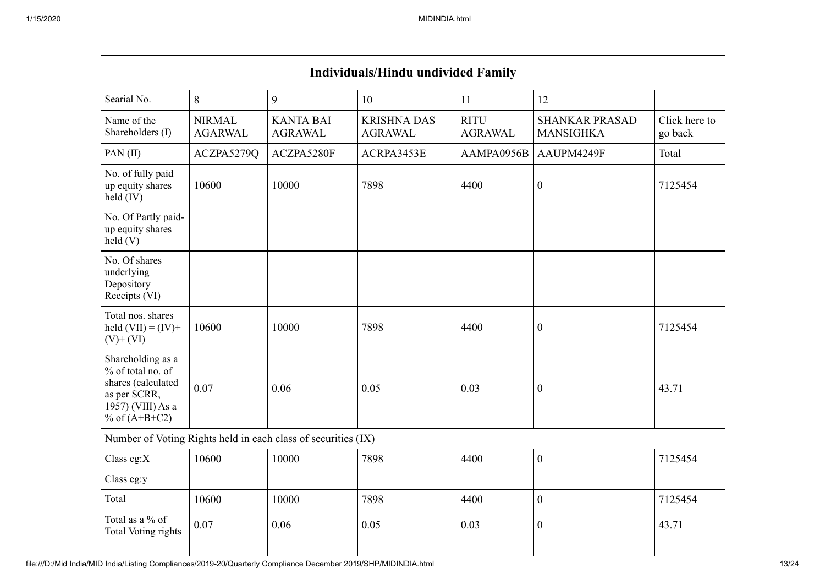| <b>Individuals/Hindu undivided Family</b> |                                    |                                      |                                                               |                                           |                          |  |  |  |  |  |  |  |
|-------------------------------------------|------------------------------------|--------------------------------------|---------------------------------------------------------------|-------------------------------------------|--------------------------|--|--|--|--|--|--|--|
| 8<br>9<br>Searial No.<br>10<br>11<br>12   |                                    |                                      |                                                               |                                           |                          |  |  |  |  |  |  |  |
| <b>NIRMAL</b><br><b>AGARWAL</b>           | <b>KANTA BAI</b><br><b>AGRAWAL</b> | <b>KRISHNA DAS</b><br><b>AGRAWAL</b> | <b>RITU</b><br><b>AGRAWAL</b>                                 | <b>SHANKAR PRASAD</b><br><b>MANSIGHKA</b> | Click here to<br>go back |  |  |  |  |  |  |  |
| ACZPA5279Q                                | ACZPA5280F                         | ACRPA3453E                           | AAMPA0956B                                                    | AAUPM4249F                                | Total                    |  |  |  |  |  |  |  |
| 10600                                     | 10000                              | 7898                                 | 4400                                                          | $\boldsymbol{0}$                          | 7125454                  |  |  |  |  |  |  |  |
|                                           |                                    |                                      |                                                               |                                           |                          |  |  |  |  |  |  |  |
|                                           |                                    |                                      |                                                               |                                           |                          |  |  |  |  |  |  |  |
| 10600                                     | 10000                              | 7898                                 | 4400                                                          | $\boldsymbol{0}$                          | 7125454                  |  |  |  |  |  |  |  |
| 0.07                                      | 0.06                               | 0.05                                 | 0.03                                                          | $\boldsymbol{0}$                          | 43.71                    |  |  |  |  |  |  |  |
|                                           |                                    |                                      |                                                               |                                           |                          |  |  |  |  |  |  |  |
| 10600                                     | 10000                              | 7898                                 | 4400                                                          | $\overline{0}$                            | 7125454                  |  |  |  |  |  |  |  |
|                                           |                                    |                                      |                                                               |                                           |                          |  |  |  |  |  |  |  |
| 10600                                     | 10000                              | 7898                                 | 4400                                                          | $\boldsymbol{0}$                          | 7125454                  |  |  |  |  |  |  |  |
| 0.07                                      | 0.06                               | 0.05                                 | 0.03                                                          | $\boldsymbol{0}$                          | 43.71                    |  |  |  |  |  |  |  |
|                                           |                                    |                                      | Number of Voting Rights held in each class of securities (IX) |                                           |                          |  |  |  |  |  |  |  |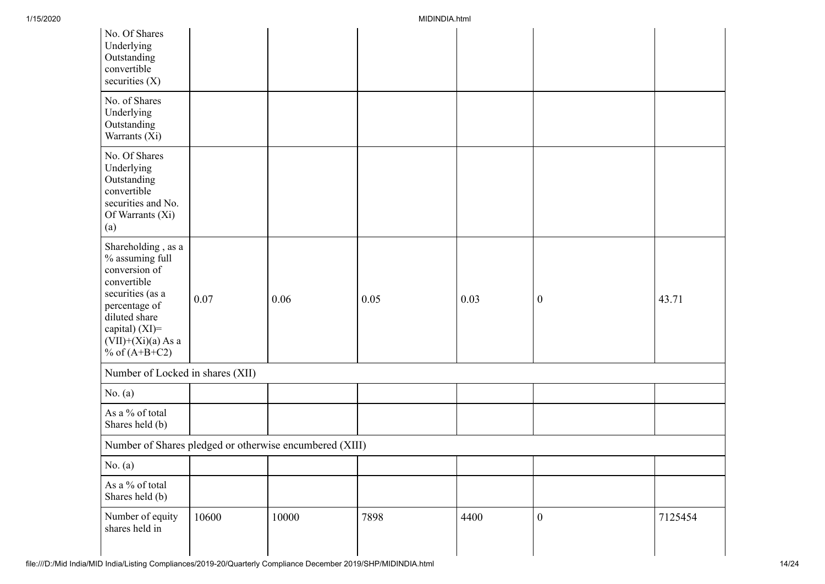| No. Of Shares<br>Underlying<br>Outstanding<br>convertible<br>securities $(X)$                                                                                                                  |       |                                                         |      |      |                  |         |
|------------------------------------------------------------------------------------------------------------------------------------------------------------------------------------------------|-------|---------------------------------------------------------|------|------|------------------|---------|
| No. of Shares<br>Underlying<br>Outstanding<br>Warrants (Xi)                                                                                                                                    |       |                                                         |      |      |                  |         |
| No. Of Shares<br>Underlying<br>Outstanding<br>convertible<br>securities and No.<br>Of Warrants (Xi)<br>(a)                                                                                     |       |                                                         |      |      |                  |         |
| Shareholding, as a<br>$\%$ assuming full<br>conversion of<br>convertible<br>securities (as a<br>percentage of<br>diluted share<br>capital) $(XI)$ =<br>$(VII)+(Xi)(a)$ As a<br>% of $(A+B+C2)$ | 0.07  | 0.06                                                    | 0.05 | 0.03 | $\boldsymbol{0}$ | 43.71   |
| Number of Locked in shares (XII)                                                                                                                                                               |       |                                                         |      |      |                  |         |
| No. $(a)$                                                                                                                                                                                      |       |                                                         |      |      |                  |         |
| As a % of total<br>Shares held (b)                                                                                                                                                             |       |                                                         |      |      |                  |         |
|                                                                                                                                                                                                |       | Number of Shares pledged or otherwise encumbered (XIII) |      |      |                  |         |
| No. (a)                                                                                                                                                                                        |       |                                                         |      |      |                  |         |
| As a % of total<br>Shares held (b)                                                                                                                                                             |       |                                                         |      |      |                  |         |
| Number of equity<br>shares held in                                                                                                                                                             | 10600 | 10000                                                   | 7898 | 4400 | $\boldsymbol{0}$ | 7125454 |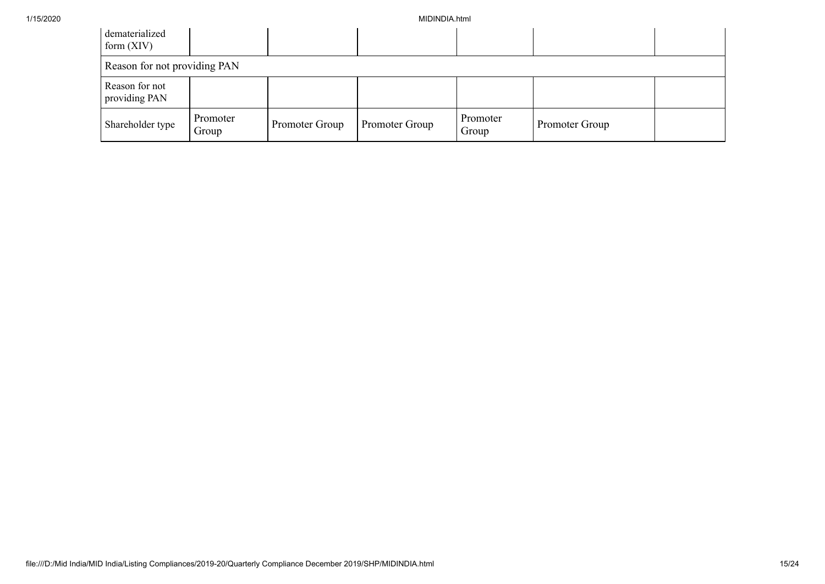| dematerialized<br>form $(XIV)$  |                   |                |                |                   |                |  |  |  |  |  |
|---------------------------------|-------------------|----------------|----------------|-------------------|----------------|--|--|--|--|--|
| Reason for not providing PAN    |                   |                |                |                   |                |  |  |  |  |  |
| Reason for not<br>providing PAN |                   |                |                |                   |                |  |  |  |  |  |
| Shareholder type                | Promoter<br>Group | Promoter Group | Promoter Group | Promoter<br>Group | Promoter Group |  |  |  |  |  |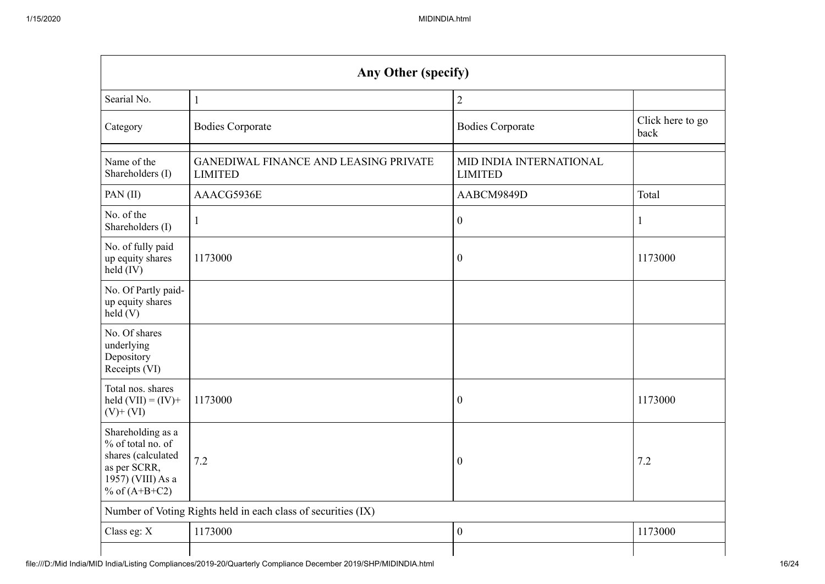| Any Other (specify)                                                                                                  |                                                                |                                           |                          |  |  |  |  |  |  |  |
|----------------------------------------------------------------------------------------------------------------------|----------------------------------------------------------------|-------------------------------------------|--------------------------|--|--|--|--|--|--|--|
| Searial No.                                                                                                          | $\mathbf{1}$                                                   | $\overline{2}$                            |                          |  |  |  |  |  |  |  |
| Category                                                                                                             | <b>Bodies Corporate</b>                                        | <b>Bodies Corporate</b>                   | Click here to go<br>back |  |  |  |  |  |  |  |
| Name of the<br>Shareholders (I)                                                                                      | <b>GANEDIWAL FINANCE AND LEASING PRIVATE</b><br><b>LIMITED</b> | MID INDIA INTERNATIONAL<br><b>LIMITED</b> |                          |  |  |  |  |  |  |  |
| PAN(II)                                                                                                              | AAACG5936E                                                     | AABCM9849D                                | Total                    |  |  |  |  |  |  |  |
| No. of the<br>Shareholders (I)                                                                                       | $\mathbf{1}$                                                   | $\boldsymbol{0}$                          | 1                        |  |  |  |  |  |  |  |
| No. of fully paid<br>up equity shares<br>$held$ (IV)                                                                 | 1173000                                                        | $\boldsymbol{0}$                          | 1173000                  |  |  |  |  |  |  |  |
| No. Of Partly paid-<br>up equity shares<br>held(V)                                                                   |                                                                |                                           |                          |  |  |  |  |  |  |  |
| No. Of shares<br>underlying<br>Depository<br>Receipts (VI)                                                           |                                                                |                                           |                          |  |  |  |  |  |  |  |
| Total nos. shares<br>held $(VII) = (IV) +$<br>$(V)$ + $(VI)$                                                         | 1173000                                                        | $\boldsymbol{0}$                          | 1173000                  |  |  |  |  |  |  |  |
| Shareholding as a<br>% of total no. of<br>shares (calculated<br>as per SCRR,<br>1957) (VIII) As a<br>% of $(A+B+C2)$ | 7.2                                                            | $\mathbf{0}$                              | 7.2                      |  |  |  |  |  |  |  |
|                                                                                                                      | Number of Voting Rights held in each class of securities (IX)  |                                           |                          |  |  |  |  |  |  |  |
| Class eg: X                                                                                                          | 1173000                                                        | $\boldsymbol{0}$                          | 1173000                  |  |  |  |  |  |  |  |
|                                                                                                                      |                                                                |                                           |                          |  |  |  |  |  |  |  |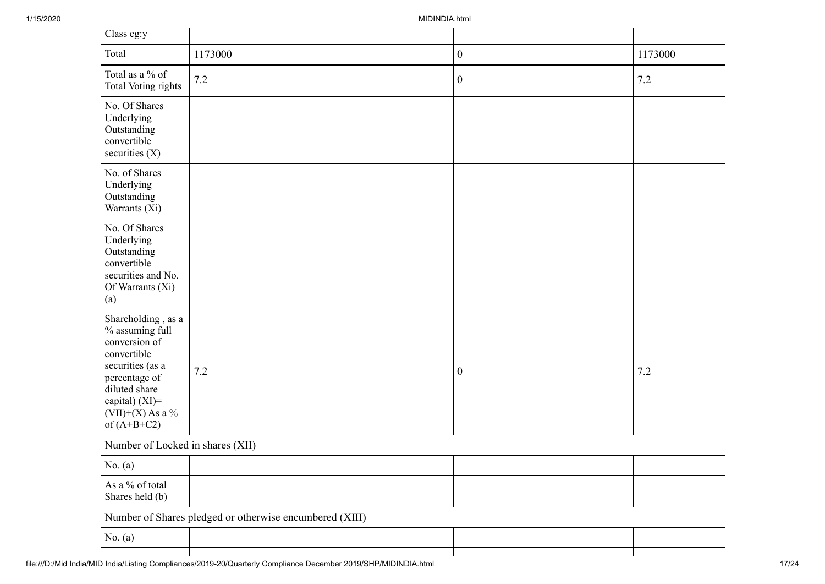| Class eg:y                                                                                                                                                                           |                                                         |                  |         |
|--------------------------------------------------------------------------------------------------------------------------------------------------------------------------------------|---------------------------------------------------------|------------------|---------|
| Total                                                                                                                                                                                | 1173000                                                 | $\boldsymbol{0}$ | 1173000 |
| Total as a % of<br>Total Voting rights                                                                                                                                               | $7.2\,$                                                 | $\boldsymbol{0}$ | $7.2\,$ |
| No. Of Shares<br>Underlying<br>Outstanding<br>convertible<br>securities $(X)$                                                                                                        |                                                         |                  |         |
| No. of Shares<br>Underlying<br>Outstanding<br>Warrants (Xi)                                                                                                                          |                                                         |                  |         |
| No. Of Shares<br>Underlying<br>Outstanding<br>convertible<br>securities and No.<br>Of Warrants (Xi)<br>(a)                                                                           |                                                         |                  |         |
| Shareholding, as a<br>% assuming full<br>conversion of<br>convertible<br>securities (as a<br>percentage of<br>diluted share<br>capital) (XI)=<br>$(VII)+(X)$ As a %<br>of $(A+B+C2)$ | 7.2                                                     | $\boldsymbol{0}$ | 7.2     |
| Number of Locked in shares (XII)                                                                                                                                                     |                                                         |                  |         |
| No. $(a)$                                                                                                                                                                            |                                                         |                  |         |
| As a % of total<br>Shares held (b)                                                                                                                                                   |                                                         |                  |         |
|                                                                                                                                                                                      | Number of Shares pledged or otherwise encumbered (XIII) |                  |         |
| No. $(a)$                                                                                                                                                                            |                                                         |                  |         |
|                                                                                                                                                                                      |                                                         |                  |         |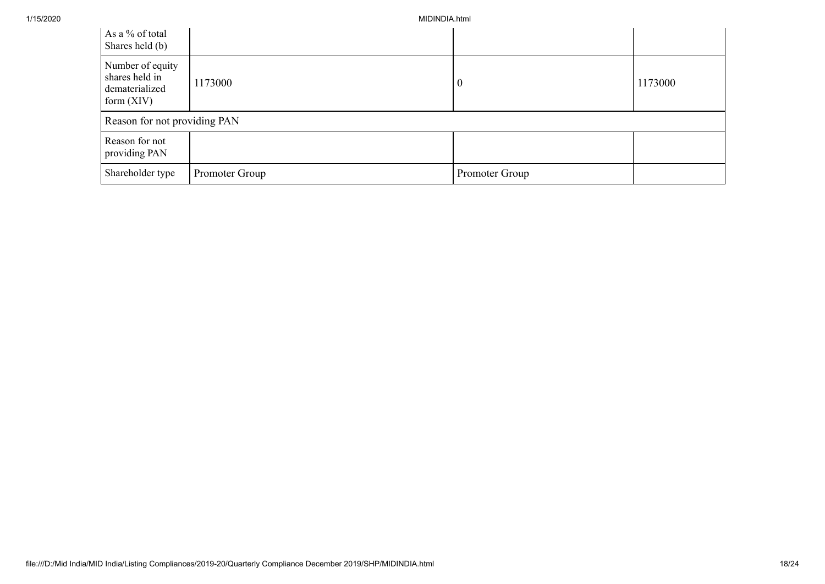| As a % of total<br>Shares held (b)                                   |                |                |         |
|----------------------------------------------------------------------|----------------|----------------|---------|
| Number of equity<br>shares held in<br>dematerialized<br>form $(XIV)$ | 1173000        | -0             | 1173000 |
| Reason for not providing PAN                                         |                |                |         |
| Reason for not<br>providing PAN                                      |                |                |         |
| Shareholder type                                                     | Promoter Group | Promoter Group |         |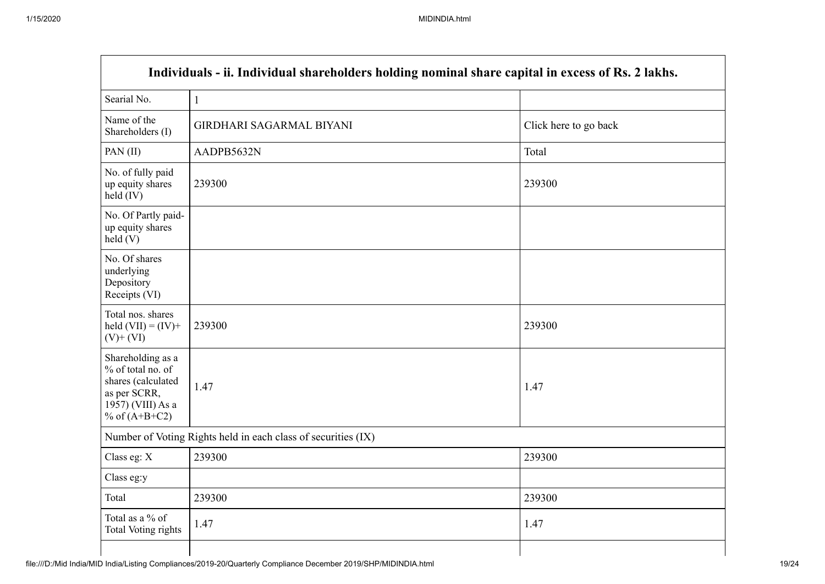$\blacksquare$ 

| Individuals - ii. Individual shareholders holding nominal share capital in excess of Rs. 2 lakhs.                    |                                                               |                       |  |  |  |  |  |  |  |
|----------------------------------------------------------------------------------------------------------------------|---------------------------------------------------------------|-----------------------|--|--|--|--|--|--|--|
| Searial No.                                                                                                          | $\mathbf{1}$                                                  |                       |  |  |  |  |  |  |  |
| Name of the<br>Shareholders (I)                                                                                      | <b>GIRDHARI SAGARMAL BIYANI</b>                               | Click here to go back |  |  |  |  |  |  |  |
| PAN(II)                                                                                                              | AADPB5632N                                                    | Total                 |  |  |  |  |  |  |  |
| No. of fully paid<br>up equity shares<br>$held$ (IV)                                                                 | 239300                                                        | 239300                |  |  |  |  |  |  |  |
| No. Of Partly paid-<br>up equity shares<br>held(V)                                                                   |                                                               |                       |  |  |  |  |  |  |  |
| No. Of shares<br>underlying<br>Depository<br>Receipts (VI)                                                           |                                                               |                       |  |  |  |  |  |  |  |
| Total nos. shares<br>held $(VII) = (IV) +$<br>$(V)$ + $(VI)$                                                         | 239300                                                        | 239300                |  |  |  |  |  |  |  |
| Shareholding as a<br>% of total no. of<br>shares (calculated<br>as per SCRR,<br>1957) (VIII) As a<br>% of $(A+B+C2)$ | 1.47                                                          | 1.47                  |  |  |  |  |  |  |  |
|                                                                                                                      | Number of Voting Rights held in each class of securities (IX) |                       |  |  |  |  |  |  |  |
| Class eg: $X$                                                                                                        | 239300                                                        | 239300                |  |  |  |  |  |  |  |
| Class eg:y                                                                                                           |                                                               |                       |  |  |  |  |  |  |  |
| Total                                                                                                                | 239300                                                        | 239300                |  |  |  |  |  |  |  |
| Total as a % of<br><b>Total Voting rights</b>                                                                        | 1.47                                                          | 1.47                  |  |  |  |  |  |  |  |
|                                                                                                                      |                                                               |                       |  |  |  |  |  |  |  |

h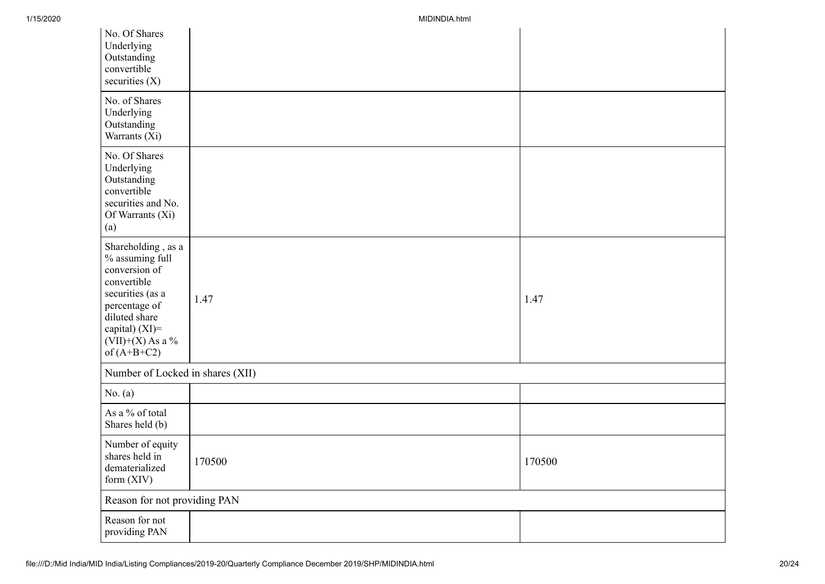| No. Of Shares<br>Underlying<br>Outstanding<br>convertible<br>securities $(X)$                                                                                                           |        |        |
|-----------------------------------------------------------------------------------------------------------------------------------------------------------------------------------------|--------|--------|
| No. of Shares<br>Underlying<br>Outstanding<br>Warrants (Xi)                                                                                                                             |        |        |
| No. Of Shares<br>Underlying<br>Outstanding<br>convertible<br>securities and No.<br>Of Warrants (Xi)<br>(a)                                                                              |        |        |
| Shareholding, as a<br>$\%$ assuming full<br>conversion of<br>convertible<br>securities (as a<br>percentage of<br>diluted share<br>capital) (XI)=<br>$(VII)+(X)$ As a %<br>of $(A+B+C2)$ | 1.47   | 1.47   |
| Number of Locked in shares (XII)                                                                                                                                                        |        |        |
| No. $(a)$                                                                                                                                                                               |        |        |
| As a % of total<br>Shares held (b)                                                                                                                                                      |        |        |
| Number of equity<br>shares held in<br>dematerialized<br>form (XIV)                                                                                                                      | 170500 | 170500 |
| Reason for not providing PAN                                                                                                                                                            |        |        |
| Reason for not<br>providing PAN                                                                                                                                                         |        |        |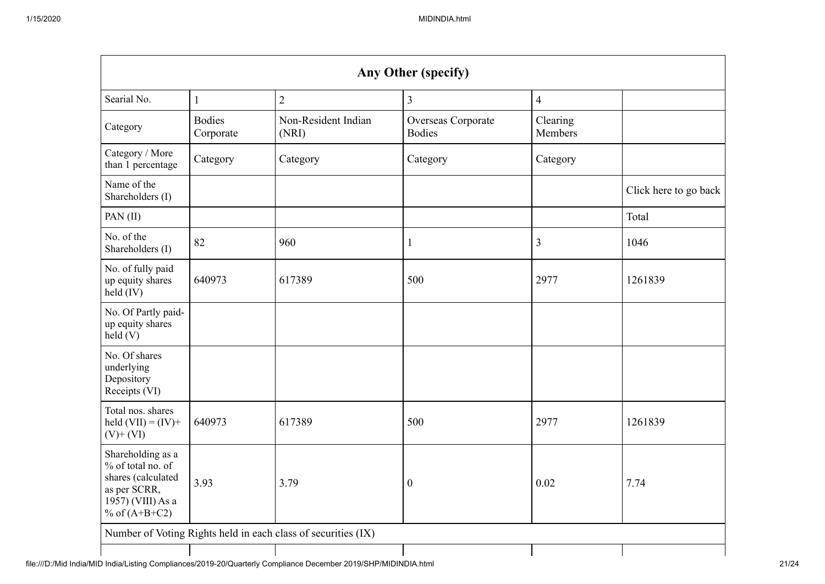| Any Other (specify)                                                                                                          |                            |                                                               |                                     |                     |                       |  |  |  |  |  |
|------------------------------------------------------------------------------------------------------------------------------|----------------------------|---------------------------------------------------------------|-------------------------------------|---------------------|-----------------------|--|--|--|--|--|
| $\overline{2}$<br>Searial No.<br>$\overline{3}$<br>$\overline{4}$<br>$\mathbf{1}$                                            |                            |                                                               |                                     |                     |                       |  |  |  |  |  |
| Category                                                                                                                     | <b>Bodies</b><br>Corporate | Non-Resident Indian<br>(NRI)                                  | Overseas Corporate<br><b>Bodies</b> | Clearing<br>Members |                       |  |  |  |  |  |
| Category / More<br>than 1 percentage                                                                                         | Category                   | Category                                                      | Category                            | Category            |                       |  |  |  |  |  |
| Name of the<br>Shareholders (I)                                                                                              |                            |                                                               |                                     |                     | Click here to go back |  |  |  |  |  |
| PAN(II)                                                                                                                      |                            |                                                               |                                     |                     | Total                 |  |  |  |  |  |
| No. of the<br>Shareholders (I)                                                                                               | 82                         | 960                                                           | 1                                   | 3                   | 1046                  |  |  |  |  |  |
| No. of fully paid<br>up equity shares<br>$held$ (IV)                                                                         | 640973                     | 617389                                                        | 500                                 | 2977                | 1261839               |  |  |  |  |  |
| No. Of Partly paid-<br>up equity shares<br>held(V)                                                                           |                            |                                                               |                                     |                     |                       |  |  |  |  |  |
| No. Of shares<br>underlying<br>Depository<br>Receipts (VI)                                                                   |                            |                                                               |                                     |                     |                       |  |  |  |  |  |
| Total nos. shares<br>held $(VII) = (IV) +$<br>$(V)$ + $(VI)$                                                                 | 640973                     | 617389                                                        | 500                                 | 2977                | 1261839               |  |  |  |  |  |
| Shareholding as a<br>% of total no. of<br>shares (calculated<br>3.93<br>as per SCRR,<br>1957) (VIII) As a<br>% of $(A+B+C2)$ |                            | 3.79                                                          | $\boldsymbol{0}$                    | 0.02                | 7.74                  |  |  |  |  |  |
|                                                                                                                              |                            | Number of Voting Rights held in each class of securities (IX) |                                     |                     |                       |  |  |  |  |  |
|                                                                                                                              |                            |                                                               |                                     |                     |                       |  |  |  |  |  |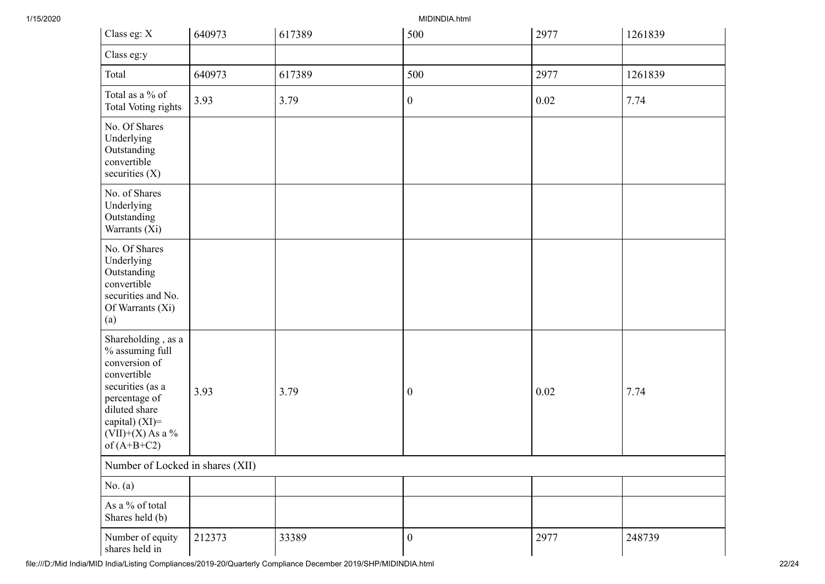| Class eg: X                                                                                                                                                                          | 640973 | 617389 | 500              | 2977 | 1261839 |  |  |  |  |
|--------------------------------------------------------------------------------------------------------------------------------------------------------------------------------------|--------|--------|------------------|------|---------|--|--|--|--|
| Class eg:y                                                                                                                                                                           |        |        |                  |      |         |  |  |  |  |
| Total                                                                                                                                                                                | 640973 | 617389 | 500              | 2977 | 1261839 |  |  |  |  |
| Total as a % of<br>Total Voting rights                                                                                                                                               | 3.93   | 3.79   | $\boldsymbol{0}$ | 0.02 | 7.74    |  |  |  |  |
| No. Of Shares<br>Underlying<br>Outstanding<br>convertible<br>securities $(X)$                                                                                                        |        |        |                  |      |         |  |  |  |  |
| No. of Shares<br>Underlying<br>Outstanding<br>Warrants (Xi)                                                                                                                          |        |        |                  |      |         |  |  |  |  |
| No. Of Shares<br>Underlying<br>Outstanding<br>convertible<br>securities and No.<br>Of Warrants (Xi)<br>(a)                                                                           |        |        |                  |      |         |  |  |  |  |
| Shareholding, as a<br>% assuming full<br>conversion of<br>convertible<br>securities (as a<br>percentage of<br>diluted share<br>capital) (XI)=<br>$(VII)+(X)$ As a %<br>of $(A+B+C2)$ | 3.93   | 3.79   | $\boldsymbol{0}$ | 0.02 | 7.74    |  |  |  |  |
| Number of Locked in shares (XII)                                                                                                                                                     |        |        |                  |      |         |  |  |  |  |
| No. $(a)$                                                                                                                                                                            |        |        |                  |      |         |  |  |  |  |
| As a % of total<br>Shares held (b)                                                                                                                                                   |        |        |                  |      |         |  |  |  |  |
| Number of equity<br>shares held in                                                                                                                                                   | 212373 | 33389  | $\boldsymbol{0}$ | 2977 | 248739  |  |  |  |  |

file:///D:/Mid India/MID India/Listing Compliances/2019-20/Quarterly Compliance December 2019/SHP/MIDINDIA.html 22/24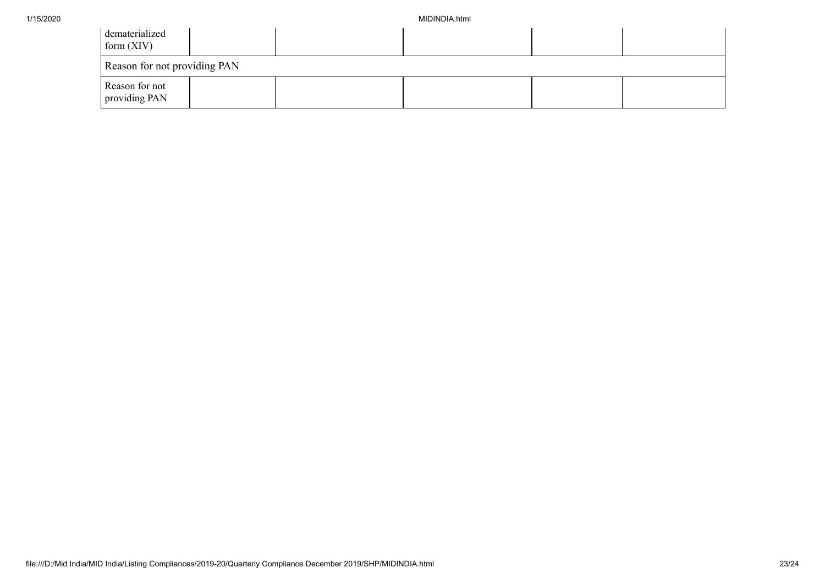| dematerialized<br>form $(XIV)$  |  |  |  |  |  |  |  |  |  |
|---------------------------------|--|--|--|--|--|--|--|--|--|
| Reason for not providing PAN    |  |  |  |  |  |  |  |  |  |
| Reason for not<br>providing PAN |  |  |  |  |  |  |  |  |  |